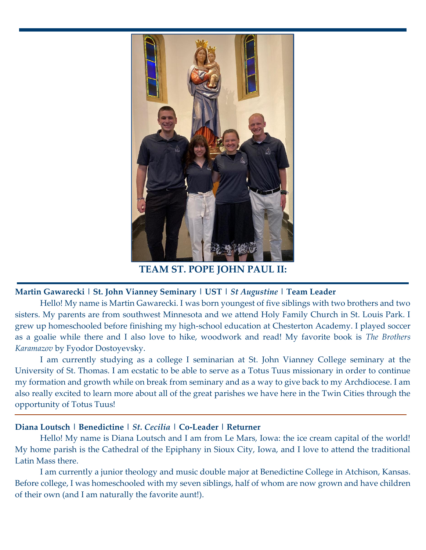

**TEAM ST. POPE JOHN PAUL II:**

## **Martin Gawarecki | St. John Vianney Seminary | UST |** *St Augustine* **| Team Leader**

Hello! My name is Martin Gawarecki. I was born youngest of five siblings with two brothers and two sisters. My parents are from southwest Minnesota and we attend Holy Family Church in St. Louis Park. I grew up homeschooled before finishing my high-school education at Chesterton Academy. I played soccer as a goalie while there and I also love to hike, woodwork and read! My favorite book is *The Brothers Karamazov* by Fyodor Dostoyevsky.

I am currently studying as a college I seminarian at St. John Vianney College seminary at the University of St. Thomas. I am ecstatic to be able to serve as a Totus Tuus missionary in order to continue my formation and growth while on break from seminary and as a way to give back to my Archdiocese. I am also really excited to learn more about all of the great parishes we have here in the Twin Cities through the opportunity of Totus Tuus!

## **Diana Loutsch | Benedictine |** *St. Cecilia* **| Co-Leader | Returner**

Hello! My name is Diana Loutsch and I am from Le Mars, Iowa: the ice cream capital of the world! My home parish is the Cathedral of the Epiphany in Sioux City, Iowa, and I love to attend the traditional Latin Mass there.

I am currently a junior theology and music double major at Benedictine College in Atchison, Kansas. Before college, I was homeschooled with my seven siblings, half of whom are now grown and have children of their own (and I am naturally the favorite aunt!).